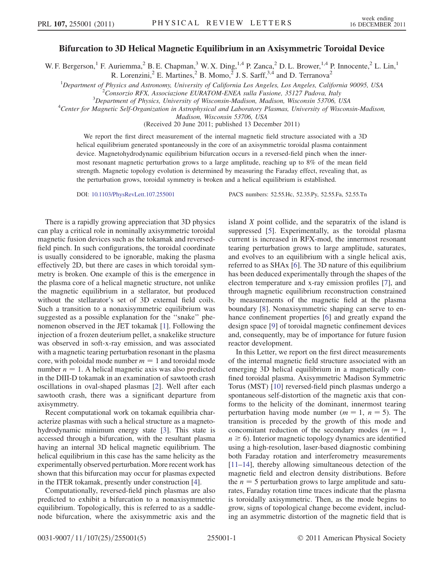## Bifurcation to 3D Helical Magnetic Equilibrium in an Axisymmetric Toroidal Device

W. F. Bergerson,<sup>1</sup> F. Auriemma,<sup>2</sup> B. E. Chapman,<sup>3</sup> W. X. Ding,<sup>1,4</sup> P. Zanca,<sup>2</sup> D. L. Brower,<sup>1,4</sup> P. Innocente,<sup>2</sup> L. Lin,<sup>1</sup> R. Lorenzini,<sup>2</sup> E. Martines,<sup>2</sup> B. Momo,<sup>2</sup> J. S. Sarff,<sup>3,4</sup> and D. Terranova<sup>2</sup>

<sup>1</sup>Department of Physics and Astronomy, University of California Los Angeles, Los Angeles, California 90095, USA  $^{2}$ Conservie PEX Associations EUPATOM ENEA sulla Eusione, 35.127 Pedeva, Italy  $^{2}$ Consorzio RFX, Associazione EURATOM-ENEA sulla Fusione, 35127 Padova, Italy

 $3$ Department of Physics, University of Wisconsin-Madison, Madison, Wisconsin 53706, USA

Center for Magnetic Self-Organization in Astrophysical and Laboratory Plasmas, University of Wisconsin-Madison,

Madison, Wisconsin 53706, USA

(Received 20 June 2011; published 13 December 2011)

We report the first direct measurement of the internal magnetic field structure associated with a 3D helical equilibrium generated spontaneously in the core of an axisymmetric toroidal plasma containment device. Magnetohydrodynamic equilibrium bifurcation occurs in a reversed-field pinch when the innermost resonant magnetic perturbation grows to a large amplitude, reaching up to 8% of the mean field strength. Magnetic topology evolution is determined by measuring the Faraday effect, revealing that, as the perturbation grows, toroidal symmetry is broken and a helical equilibrium is established.

DOI: [10.1103/PhysRevLett.107.255001](http://dx.doi.org/10.1103/PhysRevLett.107.255001) PACS numbers: 52.55.Hc, 52.35.Py, 52.55.Fa, 52.55.Tn

There is a rapidly growing appreciation that 3D physics can play a critical role in nominally axisymmetric toroidal magnetic fusion devices such as the tokamak and reversedfield pinch. In such configurations, the toroidal coordinate is usually considered to be ignorable, making the plasma effectively 2D, but there are cases in which toroidal symmetry is broken. One example of this is the emergence in the plasma core of a helical magnetic structure, not unlike the magnetic equilibrium in a stellarator, but produced without the stellarator's set of 3D external field coils. Such a transition to a nonaxisymmetric equilibrium was suggested as a possible explanation for the ''snake'' phenomenon observed in the JET tokamak [\[1](#page-3-0)]. Following the injection of a frozen deuterium pellet, a snakelike structure was observed in soft-x-ray emission, and was associated with a magnetic tearing perturbation resonant in the plasma core, with poloidal mode number  $m = 1$  and toroidal mode number  $n = 1$ . A helical magnetic axis was also predicted in the DIII-D tokamak in an examination of sawtooth crash oscillations in oval-shaped plasmas [[2\]](#page-3-1). Well after each sawtooth crash, there was a significant departure from axisymmetry.

Recent computational work on tokamak equilibria characterize plasmas with such a helical structure as a magnetohydrodynamic minimum energy state [[3\]](#page-3-2). This state is accessed through a bifurcation, with the resultant plasma having an internal 3D helical magnetic equilibrium. The helical equilibrium in this case has the same helicity as the experimentally observed perturbation. More recent work has shown that this bifurcation may occur for plasmas expected in the ITER tokamak, presently under construction [\[4](#page-3-3)].

Computationally, reversed-field pinch plasmas are also predicted to exhibit a bifurcation to a nonaxisymmetric equilibrium. Topologically, this is referred to as a saddlenode bifurcation, where the axisymmetric axis and the island X point collide, and the separatrix of the island is suppressed [[5](#page-3-4)]. Experimentally, as the toroidal plasma current is increased in RFX-mod, the innermost resonant tearing perturbation grows to large amplitude, saturates, and evolves to an equilibrium with a single helical axis, referred to as SHAx [[6](#page-3-5)]. The 3D nature of this equilibrium has been deduced experimentally through the shapes of the electron temperature and x-ray emission profiles [[7](#page-3-6)], and through magnetic equilibrium reconstruction constrained by measurements of the magnetic field at the plasma boundary [[8\]](#page-4-0). Nonaxisymmetric shaping can serve to enhance confinement properties [\[6\]](#page-3-5) and greatly expand the design space [[9\]](#page-4-1) of toroidal magnetic confinement devices and, consequently, may be of importance for future fusion reactor development.

In this Letter, we report on the first direct measurements of the internal magnetic field structure associated with an emerging 3D helical equilibrium in a magnetically confined toroidal plasma. Axisymmetric Madison Symmetric Torus (MST) [[10](#page-4-2)] reversed-field pinch plasmas undergo a spontaneous self-distortion of the magnetic axis that conforms to the helicity of the dominant, innermost tearing perturbation having mode number ( $m = 1$ ,  $n = 5$ ). The transition is preceded by the growth of this mode and concomitant reduction of the secondary modes ( $m = 1$ ,  $n \geq 6$ ). Interior magnetic topology dynamics are identified using a high-resolution, laser-based diagnostic combining both Faraday rotation and interferometry measurements [\[11–](#page-4-3)[14\]](#page-4-4), thereby allowing simultaneous detection of the magnetic field and electron density distributions. Before the  $n = 5$  perturbation grows to large amplitude and saturates, Faraday rotation time traces indicate that the plasma is toroidally axisymmetric. Then, as the mode begins to grow, signs of topological change become evident, including an asymmetric distortion of the magnetic field that is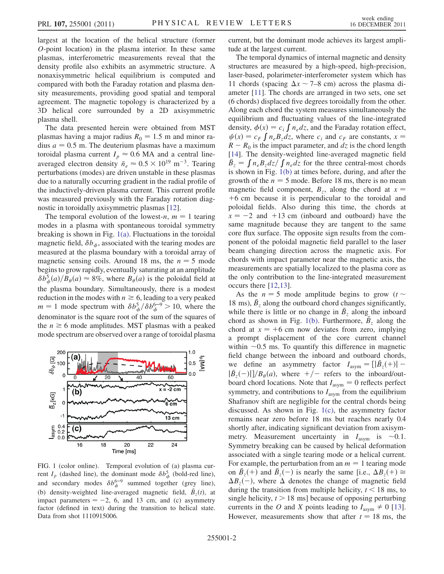largest at the location of the helical structure (former O-point location) in the plasma interior. In these same plasmas, interferometric measurements reveal that the density profile also exhibits an asymmetric structure. A nonaxisymmetric helical equilibrium is computed and compared with both the Faraday rotation and plasma density measurements, providing good spatial and temporal agreement. The magnetic topology is characterized by a 3D helical core surrounded by a 2D axisymmetric plasma shell.

The data presented herein were obtained from MST plasmas having a major radius  $R_0 = 1.5$  m and minor radius  $a = 0.5$  m. The deuterium plasmas have a maximum toroidal plasma current  $I_p \approx 0.6$  MA and a central lineaveraged electron density  $\bar{n}_e \approx 0.5 \times 10^{19} \text{ m}^{-3}$ . Tearing perturbations (modes) are driven unstable in these plasmas due to a naturally occurring gradient in the radial profile of the inductively-driven plasma current. This current profile was measured previously with the Faraday rotation diagnostic in toroidally axisymmetric plasmas [\[12\]](#page-4-5).

The temporal evolution of the lowest-n,  $m = 1$  tearing modes in a plasma with spontaneous toroidal symmetry breaking is shown in Fig. [1\(a\).](#page-1-0) Fluctuations in the toroidal magnetic field,  $\delta b_{\phi}$ , associated with the tearing modes are measured at the plasma boundary with a toroidal array of magnetic sensing coils. Around 18 ms, the  $n = 5$  mode begins to grow rapidly, eventually saturating at an amplitude  $\delta b_{\phi}^{5}(a)/\overline{B}_{\theta}(a) \approx 8\%$ , where  $B_{\theta}(a)$  is the poloidal field at the plasma boundary. Simultaneously, there is a modest reduction in the modes with  $n \geq 6$ , leading to a very peaked  $m = 1$  mode spectrum with  $\delta b_{\phi}^{5}/\delta b_{\phi}^{6-9} > 10$ , where the denominator is the square root of the sum of the squares of the  $n \geq 6$  mode amplitudes. MST plasmas with a peaked mode spectrum are observed over a range of toroidal plasma

<span id="page-1-1"></span>

<span id="page-1-0"></span>FIG. 1 (color online). Temporal evolution of (a) plasma current  $I_p$  (dashed line), the dominant mode  $\delta b_\phi^5$  (bold-red line), and secondary modes  $\delta b_{\phi}^{6-9}$  summed together (grey line), (b) density-weighted line-averaged magnetic field,  $\overline{B}_z(t)$ , at impact parameters  $= -2$ , 6, and 13 cm, and (c) asymmetry factor (defined in text) during the transition to helical state. Data from shot 1110915006.

current, but the dominant mode achieves its largest amplitude at the largest current.

The temporal dynamics of internal magnetic and density structures are measured by a high-speed, high-precision, laser-based, polarimeter-interferometer system which has 11 chords (spacing  $\Delta x \sim 7-8$  cm) across the plasma diameter [\[11\]](#page-4-3). The chords are arranged in two sets, one set (6 chords) displaced five degrees toroidally from the other. Along each chord the system measures simultaneously the equilibrium and fluctuating values of the line-integrated density,  $\phi(x) = c_i \int n_e dz$ , and the Faraday rotation effect,  $\psi(x) = c_F \int n_e B_z dz$ , where  $c_i$  and  $c_F$  are constants,  $x =$  $R - R_0$  is the impact parameter, and dz is the chord length [\[14\]](#page-4-4). The density-weighted line-averaged magnetic field  $\bar{B}_z = \int n_e B_z dz / \int n_e dz$  for the three central-most chords is shown in Fig. [1\(b\)](#page-1-0) at times before, during, and after the growth of the  $n = 5$  mode. Before 18 ms, there is no mean magnetic field component,  $B_z$ , along the chord at  $x =$  $+6$  cm because it is perpendicular to the toroidal and poloidal fields. Also during this time, the chords at  $x = -2$  and  $x = +13$  cm (inboard and outboard) have the same magnitude because they are tangent to the same core flux surface. The opposite sign results from the component of the poloidal magnetic field parallel to the laser beam changing direction across the magnetic axis. For chords with impact parameter near the magnetic axis, the measurements are spatially localized to the plasma core as the only contribution to the line-integrated measurement occurs there [[12](#page-4-5),[13](#page-4-6)].

As the  $n = 5$  mode amplitude begins to grow ( $t \sim$ 18 ms),  $\bar{B}_z$  along the outboard chord changes significantly, while there is little or no change in  $\bar{B}_z$  along the inboard chord as shown in Fig. [1\(b\)](#page-1-0). Furthermore,  $\overline{B}_z$  along the chord at  $x = +6$  cm now deviates from zero, implying a prompt displacement of the core current channel within  $\sim 0.5$  ms. To quantify this difference in magnetic field change between the inboard and outboard chords, we define an asymmetry factor  $I_{\text{asym}} = [|\bar{B}_z(+)| |\bar{B}_z(-)|]/B_\theta(a)$ , where  $+/-$  refers to the inboard/outboard chord locations. Note that  $I_{\text{asym}} = 0$  reflects perfect symmetry, and contributions to  $I_{\text{asym}}$  from the equilibrium Shafranov shift are negligible for the central chords being discussed. As shown in Fig. [1\(c\)](#page-1-0), the asymmetry factor remains near zero before 18 ms but reaches nearly 0.4 shortly after, indicating significant deviation from axisymmetry. Measurement uncertainty in  $I_{\text{asym}}$  is ~0.1. Symmetry breaking can be caused by helical deformation associated with a single tearing mode or a helical current. For example, the perturbation from an  $m = 1$  tearing mode on  $\bar{B}_z(+)$  and  $\bar{B}_z(-)$  is nearly the same [i.e.,  $\Delta B_z(+) \cong$  $\Delta B_z(-)$ , where  $\Delta$  denotes the change of magnetic field during the transition from multiple helicity,  $t < 18$  ms, to single helicity,  $t > 18$  ms] because of opposing perturbing currents in the O and X points leading to  $I_{\text{asym}} \neq 0$  [[13\]](#page-4-6). However, measurements show that after  $t = 18$  ms, the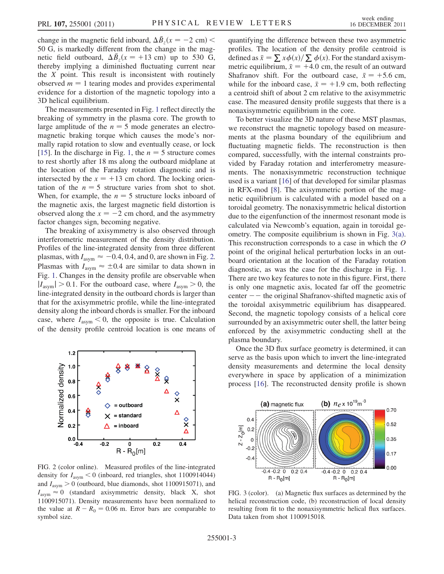change in the magnetic field inboard,  $\Delta \bar{B}_z(x = -2 \text{ cm})$  < 50 G, is markedly different from the change in the magnetic field outboard,  $\Delta \bar{B}_z(x = +13 \text{ cm})$  up to 530 G, thereby implying a diminished fluctuating current near the  $X$  point. This result is inconsistent with routinely observed  $m = 1$  tearing modes and provides experimental evidence for a distortion of the magnetic topology into a 3D helical equilibrium.

The measurements presented in Fig. [1](#page-1-1) reflect directly the breaking of symmetry in the plasma core. The growth to large amplitude of the  $n = 5$  mode generates an electromagnetic braking torque which causes the mode's normally rapid rotation to slow and eventually cease, or lock [\[15\]](#page-4-7). In the discharge in Fig. [1,](#page-1-1) the  $n = 5$  structure comes to rest shortly after 18 ms along the outboard midplane at the location of the Faraday rotation diagnostic and is intersected by the  $x = +13$  cm chord. The locking orientation of the  $n = 5$  structure varies from shot to shot. When, for example, the  $n = 5$  structure locks inboard of the magnetic axis, the largest magnetic field distortion is observed along the  $x = -2$  cm chord, and the asymmetry factor changes sign, becoming negative.

The breaking of axisymmetry is also observed through interferometric measurement of the density distribution. Profiles of the line-integrated density from three different plasmas, with  $I_{\text{asym}} \approx -0.4, 0.4, \text{ and } 0$ , are shown in Fig. [2.](#page-2-0) Plasmas with  $I_{\text{asym}} \approx \pm 0.4$  are similar to data shown in Fig. [1.](#page-1-1) Changes in the density profile are observable when  $|I_{\text{asym}}| > 0.1$ . For the outboard case, where  $I_{\text{asym}} > 0$ , the line-integrated density in the outboard chords is larger than that for the axisymmetric profile, while the line-integrated density along the inboard chords is smaller. For the inboard case, where  $I_{\text{asym}}$  < 0, the opposite is true. Calculation of the density profile centroid location is one means of

<span id="page-2-0"></span>

FIG. 2 (color online). Measured profiles of the line-integrated density for  $I_{\text{asym}} < 0$  (inboard, red triangles, shot 1100914044) and  $I_{\text{asym}} > 0$  (outboard, blue diamonds, shot 1100915071), and  $I_{\text{asym}} \approx 0$  (standard axisymmetric density, black X, shot 1100915071). Density measurements have been normalized to the value at  $R - R_0 = 0.06$  m. Error bars are comparable to symbol size.

quantifying the difference between these two asymmetric profiles. The location of the density profile centroid is defined as  $\bar{x} = \sum x \phi(x) / \sum \phi(x)$ . For the standard axisymmetric equilibrium,  $\bar{x} = +4.0$  cm, the result of an outward Shafranov shift. For the outboard case,  $\bar{x} = +5.6$  cm, while for the inboard case,  $\bar{x} = +1.9$  cm, both reflecting a centroid shift of about 2 cm relative to the axisymmetric case. The measured density profile suggests that there is a nonaxisymmetric equilibrium in the core.

To better visualize the 3D nature of these MST plasmas, we reconstruct the magnetic topology based on measurements at the plasma boundary of the equilibrium and fluctuating magnetic fields. The reconstruction is then compared, successfully, with the internal constraints provided by Faraday rotation and interferometry measurements. The nonaxisymmetric reconstruction technique used is a variant [\[16\]](#page-4-8) of that developed for similar plasmas in RFX-mod [\[8](#page-4-0)]. The axisymmetric portion of the magnetic equilibrium is calculated with a model based on a toroidal geometry. The nonaxisymmetric helical distortion due to the eigenfunction of the innermost resonant mode is calculated via Newcomb's equation, again in toroidal geometry. The composite equilibrium is shown in Fig. [3\(a\)](#page-2-1). This reconstruction corresponds to a case in which the O point of the original helical perturbation locks in an outboard orientation at the location of the Faraday rotation diagnostic, as was the case for the discharge in Fig. [1](#page-1-1). There are two key features to note in this figure. First, there is only one magnetic axis, located far off the geometric center  $-$  the original Shafranov-shifted magnetic axis of the toroidal axisymmetric equilibrium has disappeared. Second, the magnetic topology consists of a helical core surrounded by an axisymmetric outer shell, the latter being enforced by the axisymmetric conducting shell at the plasma boundary.

Once the 3D flux surface geometry is determined, it can serve as the basis upon which to invert the line-integrated density measurements and determine the local density everywhere in space by application of a minimization process [\[16](#page-4-8)]. The reconstructed density profile is shown

<span id="page-2-2"></span>

<span id="page-2-1"></span>FIG. 3 (color). (a) Magnetic flux surfaces as determined by the helical reconstruction code, (b) reconstruction of local density resulting from fit to the nonaxisymmetric helical flux surfaces. Data taken from shot 1100915018.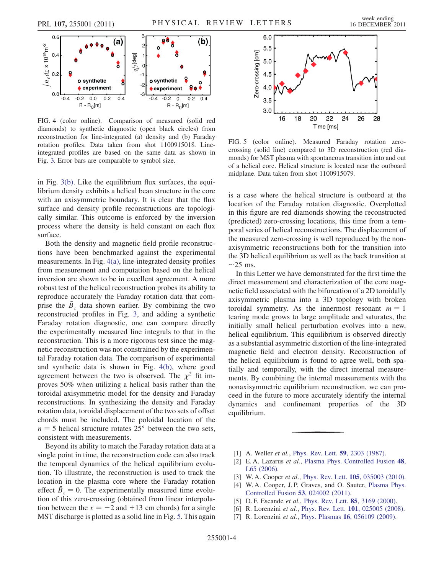

<span id="page-3-7"></span>FIG. 4 (color online). Comparison of measured (solid red diamonds) to synthetic diagnostic (open black circles) from reconstruction for line-integrated (a) density and (b) Faraday rotation profiles. Data taken from shot 1100915018. Lineintegrated profiles are based on the same data as shown in Fig. [3.](#page-2-2) Error bars are comparable to symbol size.

in Fig. [3\(b\)](#page-2-1). Like the equilibrium flux surfaces, the equilibrium density exhibits a helical bean structure in the core with an axisymmetric boundary. It is clear that the flux surface and density profile reconstructions are topologically similar. This outcome is enforced by the inversion process where the density is held constant on each flux surface.

Both the density and magnetic field profile reconstructions have been benchmarked against the experimental measurements. In Fig. [4\(a\)](#page-3-7), line-integrated density profiles from measurement and computation based on the helical inversion are shown to be in excellent agreement. A more robust test of the helical reconstruction probes its ability to reproduce accurately the Faraday rotation data that comprise the  $\bar{B}_z$  data shown earlier. By combining the two reconstructed profiles in Fig. [3,](#page-2-2) and adding a synthetic Faraday rotation diagnostic, one can compare directly the experimentally measured line integrals to that in the reconstruction. This is a more rigorous test since the magnetic reconstruction was not constrained by the experimental Faraday rotation data. The comparison of experimental and synthetic data is shown in Fig. [4\(b\)](#page-3-7), where good agreement between the two is observed. The  $\chi^2$  fit improves 50% when utilizing a helical basis rather than the toroidal axisymmetric model for the density and Faraday reconstructions. In synthesizing the density and Faraday rotation data, toroidal displacement of the two sets of offset chords must be included. The poloidal location of the  $n = 5$  helical structure rotates 25 $\degree$  between the two sets, consistent with measurements.

Beyond its ability to match the Faraday rotation data at a single point in time, the reconstruction code can also track the temporal dynamics of the helical equilibrium evolution. To illustrate, the reconstruction is used to track the location in the plasma core where the Faraday rotation effect  $\bar{B}_z = 0$ . The experimentally measured time evolution of this zero-crossing (obtained from linear interpolation between the  $x = -2$  and  $+13$  cm chords) for a single MST discharge is plotted as a solid line in Fig. [5.](#page-3-8) This again

<span id="page-3-8"></span>

FIG. 5 (color online). Measured Faraday rotation zerocrossing (solid line) compared to 3D reconstruction (red diamonds) for MST plasma with spontaneous transition into and out of a helical core. Helical structure is located near the outboard midplane. Data taken from shot 1100915079.

is a case where the helical structure is outboard at the location of the Faraday rotation diagnostic. Overplotted in this figure are red diamonds showing the reconstructed (predicted) zero-crossing locations, this time from a temporal series of helical reconstructions. The displacement of the measured zero-crossing is well reproduced by the nonaxisymmetric reconstructions both for the transition into the 3D helical equilibrium as well as the back transition at  $\sim$ 25 ms.

In this Letter we have demonstrated for the first time the direct measurement and characterization of the core magnetic field associated with the bifurcation of a 2D toroidally axisymmetric plasma into a 3D topology with broken toroidal symmetry. As the innermost resonant  $m = 1$ tearing mode grows to large amplitude and saturates, the initially small helical perturbation evolves into a new, helical equilibrium. This equilibrium is observed directly as a substantial asymmetric distortion of the line-integrated magnetic field and electron density. Reconstruction of the helical equilibrium is found to agree well, both spatially and temporally, with the direct internal measurements. By combining the internal measurements with the nonaxisymmetric equilibrium reconstruction, we can proceed in the future to more accurately identify the internal dynamics and confinement properties of the 3D equilibrium.

- <span id="page-3-1"></span><span id="page-3-0"></span>[1] A. Weller *et al.*, *[Phys. Rev. Lett.](http://dx.doi.org/10.1103/PhysRevLett.59.2303)* **59**, 2303 (1987).
- <span id="page-3-2"></span>[2] E.A. Lazarus et al., [Plasma Phys. Controlled Fusion](http://dx.doi.org/10.1088/0741-3335/48/8/L01) 48, [L65 \(2006\)](http://dx.doi.org/10.1088/0741-3335/48/8/L01).
- <span id="page-3-3"></span>[3] W. A. Cooper et al., Phys. Rev. Lett. **105**[, 035003 \(2010\).](http://dx.doi.org/10.1103/PhysRevLett.105.035003)
- <span id="page-3-4"></span>[4] W. A. Cooper, J. P. Graves, and O. Sauter, [Plasma Phys.](http://dx.doi.org/10.1088/0741-3335/53/2/024002) [Controlled Fusion](http://dx.doi.org/10.1088/0741-3335/53/2/024002) 53, 024002 (2011).
- <span id="page-3-6"></span><span id="page-3-5"></span>[5] D. F. Escande et al., [Phys. Rev. Lett.](http://dx.doi.org/10.1103/PhysRevLett.85.3169) 85, 3169 (2000).
- [6] R. Lorenzini et al., Phys. Rev. Lett. **101**[, 025005 \(2008\)](http://dx.doi.org/10.1103/PhysRevLett.101.025005).
- [7] R. Lorenzini et al., Phys. Plasmas 16[, 056109 \(2009\).](http://dx.doi.org/10.1063/1.3082821)